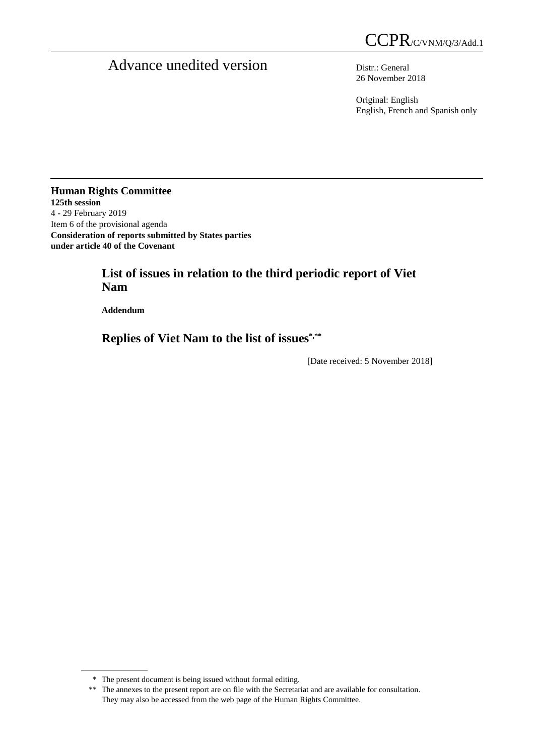# Advance unedited version Distr.: General

26 November 2018

Original: English English, French and Spanish only

**Human Rights Committee 125th session**  4 - 29 February 2019 Item 6 of the provisional agenda **Consideration of reports submitted by States parties under article 40 of the Covenant** 

## **List of issues in relation to the third periodic report of Viet Nam**

 **Addendum** 

 $\overline{a}$ 

 **Replies of Viet Nam to the list of issues\*,\*\***

[Date received: 5 November 2018]

 <sup>\*</sup> The present document is being issued without formal editing.

 <sup>\*\*</sup> The annexes to the present report are on file with the Secretariat and are available for consultation. They may also be accessed from the web page of the Human Rights Committee.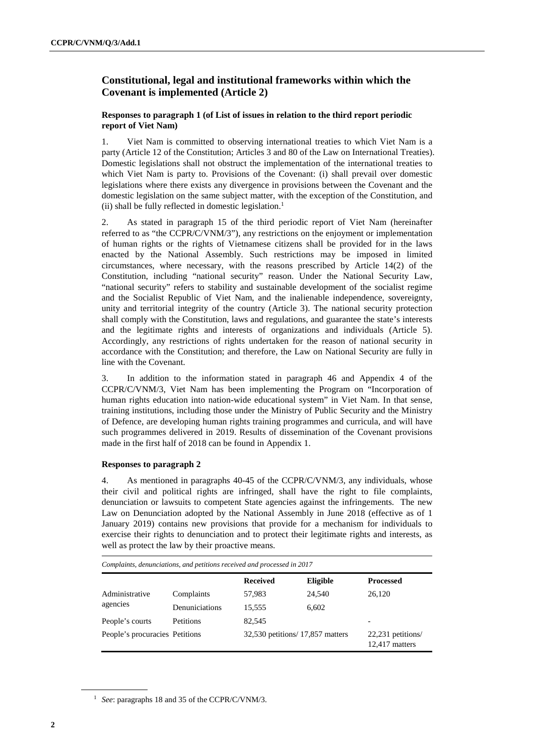## **Constitutional, legal and institutional frameworks within which the Covenant is implemented (Article 2)**

#### **Responses to paragraph 1 (of List of issues in relation to the third report periodic report of Viet Nam)**

1. Viet Nam is committed to observing international treaties to which Viet Nam is a party (Article 12 of the Constitution; Articles 3 and 80 of the Law on International Treaties). Domestic legislations shall not obstruct the implementation of the international treaties to which Viet Nam is party to. Provisions of the Covenant: (i) shall prevail over domestic legislations where there exists any divergence in provisions between the Covenant and the domestic legislation on the same subject matter, with the exception of the Constitution, and (ii) shall be fully reflected in domestic legislation.<sup>1</sup>

2. As stated in paragraph 15 of the third periodic report of Viet Nam (hereinafter referred to as "the CCPR/C/VNM/3"), any restrictions on the enjoyment or implementation of human rights or the rights of Vietnamese citizens shall be provided for in the laws enacted by the National Assembly. Such restrictions may be imposed in limited circumstances, where necessary, with the reasons prescribed by Article 14(2) of the Constitution, including "national security" reason. Under the National Security Law, "national security" refers to stability and sustainable development of the socialist regime and the Socialist Republic of Viet Nam, and the inalienable independence, sovereignty, unity and territorial integrity of the country (Article 3). The national security protection shall comply with the Constitution, laws and regulations, and guarantee the state's interests and the legitimate rights and interests of organizations and individuals (Article 5). Accordingly, any restrictions of rights undertaken for the reason of national security in accordance with the Constitution; and therefore, the Law on National Security are fully in line with the Covenant.

3. In addition to the information stated in paragraph 46 and Appendix 4 of the CCPR/C/VNM/3, Viet Nam has been implementing the Program on "Incorporation of human rights education into nation-wide educational system" in Viet Nam. In that sense, training institutions, including those under the Ministry of Public Security and the Ministry of Defence, are developing human rights training programmes and curricula, and will have such programmes delivered in 2019. Results of dissemination of the Covenant provisions made in the first half of 2018 can be found in Appendix 1.

#### **Responses to paragraph 2**

4. As mentioned in paragraphs 40-45 of the CCPR/C/VNM/3, any individuals, whose their civil and political rights are infringed, shall have the right to file complaints, denunciation or lawsuits to competent State agencies against the infringements. The new Law on Denunciation adopted by the National Assembly in June 2018 (effective as of 1 January 2019) contains new provisions that provide for a mechanism for individuals to exercise their rights to denunciation and to protect their legitimate rights and interests, as well as protect the law by their proactive means.

|                                |                | <b>Received</b>                  | Eligible | <b>Processed</b>                      |
|--------------------------------|----------------|----------------------------------|----------|---------------------------------------|
| Administrative<br>agencies     | Complaints     | 57,983                           | 24.540   | 26.120                                |
|                                | Denuniciations | 15,555                           | 6.602    |                                       |
| People's courts                | Petitions      | 82,545                           |          | $\overline{\phantom{0}}$              |
| People's procuracies Petitions |                | 32,530 petitions/ 17,857 matters |          | $22,231$ petitions/<br>12,417 matters |

<sup>1</sup> *See*: paragraphs 18 and 35 of the CCPR/C/VNM/3.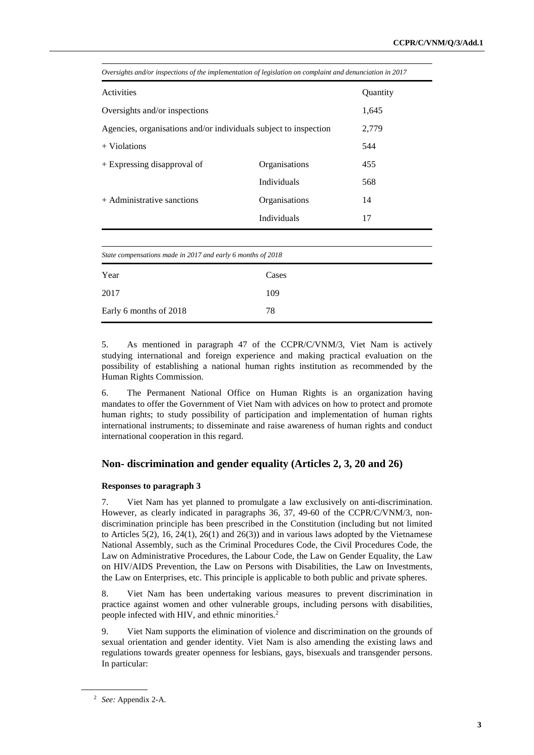| Oversights and/or inspections of the implementation of legislation on complaint and denunciation in 2017 |                    |     |  |
|----------------------------------------------------------------------------------------------------------|--------------------|-----|--|
| Activities                                                                                               | Quantity           |     |  |
| Oversights and/or inspections                                                                            | 1,645              |     |  |
| Agencies, organisations and/or individuals subject to inspection                                         | 2,779              |     |  |
| $+$ Violations                                                                                           | 544                |     |  |
| + Expressing disapproval of                                                                              | Organisations      | 455 |  |
|                                                                                                          | <b>Individuals</b> | 568 |  |
| + Administrative sanctions                                                                               | Organisations      | 14  |  |
|                                                                                                          | Individuals        | 17  |  |
|                                                                                                          |                    |     |  |

*Oversights and/or inspections of the implementation of legislation on complaint and denunciation in 2017* 

| State compensations made in 2017 and early 6 months of 2018 |       |  |  |
|-------------------------------------------------------------|-------|--|--|
| Year                                                        | Cases |  |  |
| 2017                                                        | 109   |  |  |
| Early 6 months of 2018                                      | 78    |  |  |

5. As mentioned in paragraph 47 of the CCPR/C/VNM/3, Viet Nam is actively studying international and foreign experience and making practical evaluation on the possibility of establishing a national human rights institution as recommended by the Human Rights Commission.

6. The Permanent National Office on Human Rights is an organization having mandates to offer the Government of Viet Nam with advices on how to protect and promote human rights; to study possibility of participation and implementation of human rights international instruments; to disseminate and raise awareness of human rights and conduct international cooperation in this regard.

#### **Non- discrimination and gender equality (Articles 2, 3, 20 and 26)**

#### **Responses to paragraph 3**

7. Viet Nam has yet planned to promulgate a law exclusively on anti-discrimination. However, as clearly indicated in paragraphs 36, 37, 49-60 of the CCPR/C/VNM/3, nondiscrimination principle has been prescribed in the Constitution (including but not limited to Articles  $5(2)$ , 16, 24(1), 26(1) and 26(3)) and in various laws adopted by the Vietnamese National Assembly, such as the Criminal Procedures Code, the Civil Procedures Code, the Law on Administrative Procedures, the Labour Code, the Law on Gender Equality, the Law on HIV/AIDS Prevention, the Law on Persons with Disabilities, the Law on Investments, the Law on Enterprises, etc. This principle is applicable to both public and private spheres.

8. Viet Nam has been undertaking various measures to prevent discrimination in practice against women and other vulnerable groups, including persons with disabilities, people infected with HIV, and ethnic minorities.<sup>2</sup>

9. Viet Nam supports the elimination of violence and discrimination on the grounds of sexual orientation and gender identity. Viet Nam is also amending the existing laws and regulations towards greater openness for lesbians, gays, bisexuals and transgender persons. In particular:

<sup>2</sup> *See:* Appendix 2-A.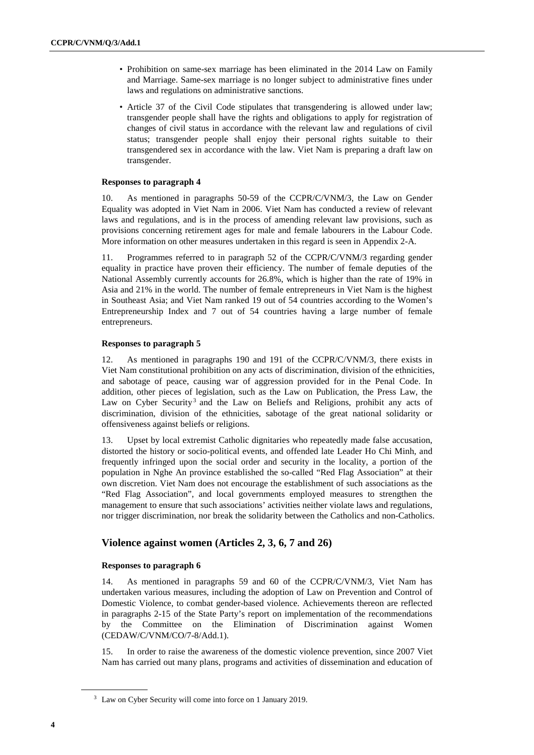- Prohibition on same-sex marriage has been eliminated in the 2014 Law on Family and Marriage. Same-sex marriage is no longer subject to administrative fines under laws and regulations on administrative sanctions.
- Article 37 of the Civil Code stipulates that transgendering is allowed under law; transgender people shall have the rights and obligations to apply for registration of changes of civil status in accordance with the relevant law and regulations of civil status; transgender people shall enjoy their personal rights suitable to their transgendered sex in accordance with the law. Viet Nam is preparing a draft law on transgender.

#### **Responses to paragraph 4**

10. As mentioned in paragraphs 50-59 of the CCPR/C/VNM/3, the Law on Gender Equality was adopted in Viet Nam in 2006. Viet Nam has conducted a review of relevant laws and regulations, and is in the process of amending relevant law provisions, such as provisions concerning retirement ages for male and female labourers in the Labour Code. More information on other measures undertaken in this regard is seen in Appendix 2-A.

11. Programmes referred to in paragraph 52 of the CCPR/C/VNM/3 regarding gender equality in practice have proven their efficiency. The number of female deputies of the National Assembly currently accounts for 26.8%, which is higher than the rate of 19% in Asia and 21% in the world. The number of female entrepreneurs in Viet Nam is the highest in Southeast Asia; and Viet Nam ranked 19 out of 54 countries according to the Women's Entrepreneurship Index and 7 out of 54 countries having a large number of female entrepreneurs.

#### **Responses to paragraph 5**

12. As mentioned in paragraphs 190 and 191 of the CCPR/C/VNM/3, there exists in Viet Nam constitutional prohibition on any acts of discrimination, division of the ethnicities, and sabotage of peace, causing war of aggression provided for in the Penal Code. In addition, other pieces of legislation, such as the Law on Publication, the Press Law, the Law on Cyber Security<sup>3</sup> and the Law on Beliefs and Religions, prohibit any acts of discrimination, division of the ethnicities, sabotage of the great national solidarity or offensiveness against beliefs or religions.

13. Upset by local extremist Catholic dignitaries who repeatedly made false accusation, distorted the history or socio-political events, and offended late Leader Ho Chi Minh, and frequently infringed upon the social order and security in the locality, a portion of the population in Nghe An province established the so-called "Red Flag Association" at their own discretion. Viet Nam does not encourage the establishment of such associations as the "Red Flag Association", and local governments employed measures to strengthen the management to ensure that such associations' activities neither violate laws and regulations, nor trigger discrimination, nor break the solidarity between the Catholics and non-Catholics.

## **Violence against women (Articles 2, 3, 6, 7 and 26)**

#### **Responses to paragraph 6**

14. As mentioned in paragraphs 59 and 60 of the CCPR/C/VNM/3, Viet Nam has undertaken various measures, including the adoption of Law on Prevention and Control of Domestic Violence, to combat gender-based violence. Achievements thereon are reflected in paragraphs 2-15 of the State Party's report on implementation of the recommendations by the Committee on the Elimination of Discrimination against Women (CEDAW/C/VNM/CO/7-8/Add.1).

15. In order to raise the awareness of the domestic violence prevention, since 2007 Viet Nam has carried out many plans, programs and activities of dissemination and education of

<sup>&</sup>lt;sup>3</sup> Law on Cyber Security will come into force on 1 January 2019.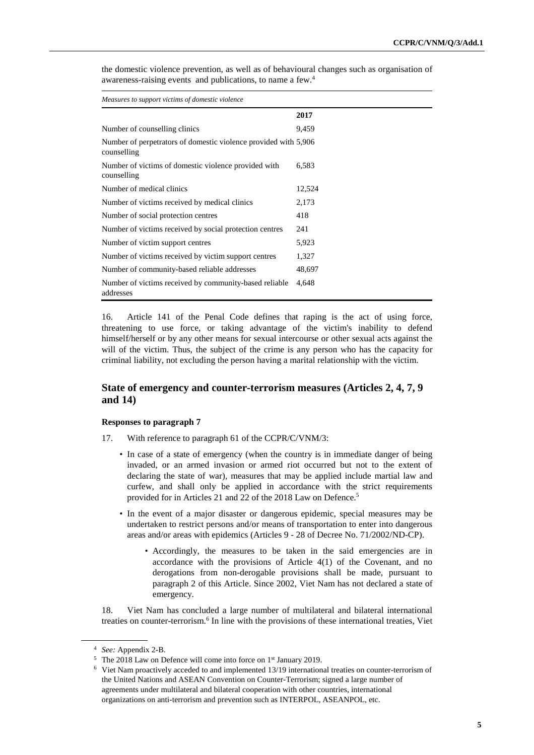| Measures to support victims of domestic violence                               |        |  |  |
|--------------------------------------------------------------------------------|--------|--|--|
|                                                                                | 2017   |  |  |
| Number of counselling clinics                                                  | 9,459  |  |  |
| Number of perpetrators of domestic violence provided with 5,906<br>counselling |        |  |  |
| Number of victims of domestic violence provided with<br>counselling            | 6,583  |  |  |
| Number of medical clinics                                                      | 12,524 |  |  |
| Number of victims received by medical clinics                                  | 2,173  |  |  |
| Number of social protection centres                                            | 418    |  |  |
| Number of victims received by social protection centres                        | 241    |  |  |
| Number of victim support centres                                               | 5,923  |  |  |
| Number of victims received by victim support centres                           | 1,327  |  |  |
| Number of community-based reliable addresses                                   | 48,697 |  |  |
| Number of victims received by community-based reliable<br>addresses            | 4,648  |  |  |

the domestic violence prevention, as well as of behavioural changes such as organisation of awareness-raising events and publications, to name a few.<sup>4</sup>

16. Article 141 of the Penal Code defines that raping is the act of using force, threatening to use force, or taking advantage of the victim's inability to defend himself/herself or by any other means for sexual intercourse or other sexual acts against the will of the victim. Thus, the subject of the crime is any person who has the capacity for criminal liability, not excluding the person having a marital relationship with the victim.

## **State of emergency and counter-terrorism measures (Articles 2, 4, 7, 9 and 14)**

#### **Responses to paragraph 7**

- 17. With reference to paragraph 61 of the CCPR/C/VNM/3:
	- In case of a state of emergency (when the country is in immediate danger of being invaded, or an armed invasion or armed riot occurred but not to the extent of declaring the state of war), measures that may be applied include martial law and curfew, and shall only be applied in accordance with the strict requirements provided for in Articles 21 and 22 of the 2018 Law on Defence.<sup>5</sup>
	- In the event of a major disaster or dangerous epidemic, special measures may be undertaken to restrict persons and/or means of transportation to enter into dangerous areas and/or areas with epidemics (Articles 9 - 28 of Decree No. 71/2002/ND-CP).
		- Accordingly, the measures to be taken in the said emergencies are in accordance with the provisions of Article 4(1) of the Covenant, and no derogations from non-derogable provisions shall be made, pursuant to paragraph 2 of this Article. Since 2002, Viet Nam has not declared a state of emergency.

18. Viet Nam has concluded a large number of multilateral and bilateral international treaties on counter-terrorism.<sup>6</sup> In line with the provisions of these international treaties, Viet

<sup>4</sup> *See:* Appendix 2-B.

<sup>5</sup> The 2018 Law on Defence will come into force on 1<sup>st</sup> January 2019.

<sup>&</sup>lt;sup>6</sup> Viet Nam proactively acceded to and implemented 13/19 international treaties on counter-terrorism of the United Nations and ASEAN Convention on Counter-Terrorism; signed a large number of agreements under multilateral and bilateral cooperation with other countries, international organizations on anti-terrorism and prevention such as INTERPOL, ASEANPOL, etc.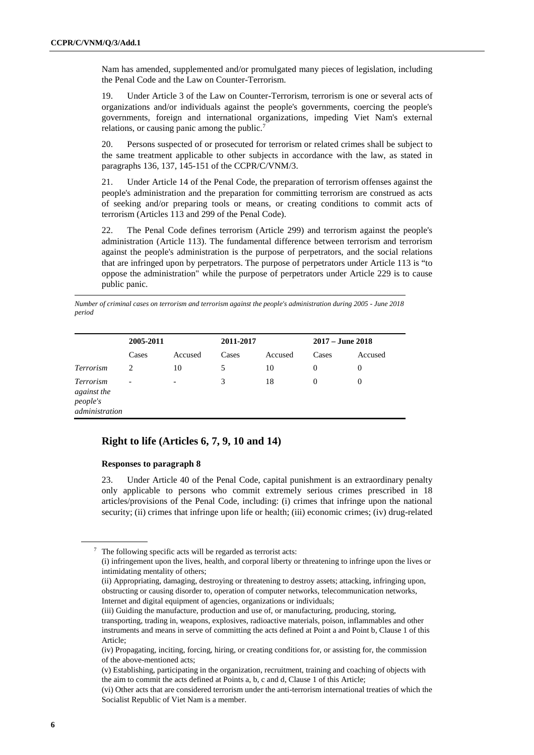Nam has amended, supplemented and/or promulgated many pieces of legislation, including the Penal Code and the Law on Counter-Terrorism.

19. Under Article 3 of the Law on Counter-Terrorism, terrorism is one or several acts of organizations and/or individuals against the people's governments, coercing the people's governments, foreign and international organizations, impeding Viet Nam's external relations, or causing panic among the public.<sup>7</sup>

20. Persons suspected of or prosecuted for terrorism or related crimes shall be subject to the same treatment applicable to other subjects in accordance with the law, as stated in paragraphs 136, 137, 145-151 of the CCPR/C/VNM/3.

21. Under Article 14 of the Penal Code, the preparation of terrorism offenses against the people's administration and the preparation for committing terrorism are construed as acts of seeking and/or preparing tools or means, or creating conditions to commit acts of terrorism (Articles 113 and 299 of the Penal Code).

22. The Penal Code defines terrorism (Article 299) and terrorism against the people's administration (Article 113). The fundamental difference between terrorism and terrorism against the people's administration is the purpose of perpetrators, and the social relations that are infringed upon by perpetrators. The purpose of perpetrators under Article 113 is "to oppose the administration" while the purpose of perpetrators under Article 229 is to cause public panic.

*Number of criminal cases on terrorism and terrorism against the people's administration during 2005 - June 2018 period*

|                                                                      | 2005-2011                |                          | 2011-2017 |         | $2017 -$ June 2018 |         |
|----------------------------------------------------------------------|--------------------------|--------------------------|-----------|---------|--------------------|---------|
|                                                                      | Cases                    | Accused                  | Cases     | Accused | Cases              | Accused |
| <b>Terrorism</b>                                                     | 2                        | 10                       | 5         | 10      | $\Omega$           | 0       |
| <i>Terrorism</i><br><i>against the</i><br>people's<br>administration | $\overline{\phantom{0}}$ | $\overline{\phantom{a}}$ | 3         | 18      | $\Omega$           | 0       |

## **Right to life (Articles 6, 7, 9, 10 and 14)**

#### **Responses to paragraph 8**

23. Under Article 40 of the Penal Code, capital punishment is an extraordinary penalty only applicable to persons who commit extremely serious crimes prescribed in 18 articles/provisions of the Penal Code, including: (i) crimes that infringe upon the national security; (ii) crimes that infringe upon life or health; (iii) economic crimes; (iv) drug-related

<sup>&</sup>lt;sup>7</sup> The following specific acts will be regarded as terrorist acts:

 <sup>(</sup>i) infringement upon the lives, health, and corporal liberty or threatening to infringe upon the lives or intimidating mentality of others;

 <sup>(</sup>ii) Appropriating, damaging, destroying or threatening to destroy assets; attacking, infringing upon, obstructing or causing disorder to, operation of computer networks, telecommunication networks, Internet and digital equipment of agencies, organizations or individuals;

 <sup>(</sup>iii) Guiding the manufacture, production and use of, or manufacturing, producing, storing, transporting, trading in, weapons, explosives, radioactive materials, poison, inflammables and other

instruments and means in serve of committing the acts defined at Point a and Point b, Clause 1 of this Article;

 <sup>(</sup>iv) Propagating, inciting, forcing, hiring, or creating conditions for, or assisting for, the commission of the above-mentioned acts;

 <sup>(</sup>v) Establishing, participating in the organization, recruitment, training and coaching of objects with the aim to commit the acts defined at Points a, b, c and d, Clause 1 of this Article;

 <sup>(</sup>vi) Other acts that are considered terrorism under the anti-terrorism international treaties of which the Socialist Republic of Viet Nam is a member.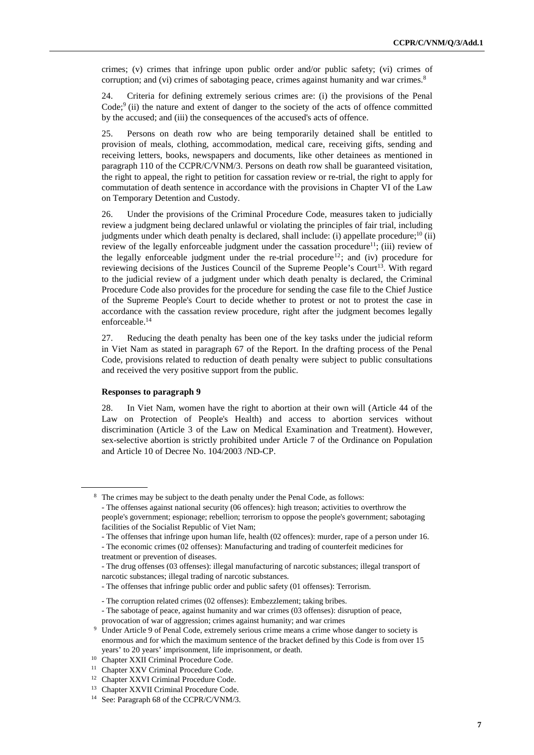crimes; (v) crimes that infringe upon public order and/or public safety; (vi) crimes of corruption; and (vi) crimes of sabotaging peace, crimes against humanity and war crimes.<sup>8</sup>

24. Criteria for defining extremely serious crimes are: (i) the provisions of the Penal Code;<sup>9</sup> (ii) the nature and extent of danger to the society of the acts of offence committed by the accused; and (iii) the consequences of the accused's acts of offence.

25. Persons on death row who are being temporarily detained shall be entitled to provision of meals, clothing, accommodation, medical care, receiving gifts, sending and receiving letters, books, newspapers and documents, like other detainees as mentioned in paragraph 110 of the CCPR/C/VNM/3. Persons on death row shall be guaranteed visitation, the right to appeal, the right to petition for cassation review or re-trial, the right to apply for commutation of death sentence in accordance with the provisions in Chapter VI of the Law on Temporary Detention and Custody.

26. Under the provisions of the Criminal Procedure Code, measures taken to judicially review a judgment being declared unlawful or violating the principles of fair trial, including judgments under which death penalty is declared, shall include: (i) appellate procedure;<sup>10</sup> (ii) review of the legally enforceable judgment under the cassation procedure<sup>11</sup>; (iii) review of the legally enforceable judgment under the re-trial procedure<sup>12</sup>; and (iv) procedure for reviewing decisions of the Justices Council of the Supreme People's Court<sup>13</sup>. With regard to the judicial review of a judgment under which death penalty is declared, the Criminal Procedure Code also provides for the procedure for sending the case file to the Chief Justice of the Supreme People's Court to decide whether to protest or not to protest the case in accordance with the cassation review procedure, right after the judgment becomes legally enforceable.<sup>14</sup>

27. Reducing the death penalty has been one of the key tasks under the judicial reform in Viet Nam as stated in paragraph 67 of the Report. In the drafting process of the Penal Code, provisions related to reduction of death penalty were subject to public consultations and received the very positive support from the public.

#### **Responses to paragraph 9**

 $\overline{a}$ 

28. In Viet Nam, women have the right to abortion at their own will (Article 44 of the Law on Protection of People's Health) and access to abortion services without discrimination (Article 3 of the Law on Medical Examination and Treatment). However, sex-selective abortion is strictly prohibited under Article 7 of the Ordinance on Population and Article 10 of Decree No. 104/2003 /ND-CP.

<sup>&</sup>lt;sup>8</sup> The crimes may be subject to the death penalty under the Penal Code, as follows:

 <sup>-</sup> The offenses against national security (06 offences): high treason; activities to overthrow the people's government; espionage; rebellion; terrorism to oppose the people's government; sabotaging facilities of the Socialist Republic of Viet Nam;

 <sup>-</sup> The offenses that infringe upon human life, health (02 offences): murder, rape of a person under 16.

 <sup>-</sup> The economic crimes (02 offenses): Manufacturing and trading of counterfeit medicines for treatment or prevention of diseases.

 <sup>-</sup> The drug offenses (03 offenses): illegal manufacturing of narcotic substances; illegal transport of narcotic substances; illegal trading of narcotic substances.

 <sup>-</sup> The offenses that infringe public order and public safety (01 offenses): Terrorism.

 <sup>-</sup> The corruption related crimes (02 offenses): Embezzlement; taking bribes.

 <sup>-</sup> The sabotage of peace, against humanity and war crimes (03 offenses): disruption of peace, provocation of war of aggression; crimes against humanity; and war crimes

<sup>&</sup>lt;sup>9</sup> Under Article 9 of Penal Code, extremely serious crime means a crime whose danger to society is enormous and for which the maximum sentence of the bracket defined by this Code is from over 15 years' to 20 years' imprisonment, life imprisonment, or death.

<sup>10</sup> Chapter XXII Criminal Procedure Code.

<sup>&</sup>lt;sup>11</sup> Chapter XXV Criminal Procedure Code.

<sup>&</sup>lt;sup>12</sup> Chapter XXVI Criminal Procedure Code.

<sup>&</sup>lt;sup>13</sup> Chapter XXVII Criminal Procedure Code.

<sup>14</sup> See: Paragraph 68 of the CCPR/C/VNM/3.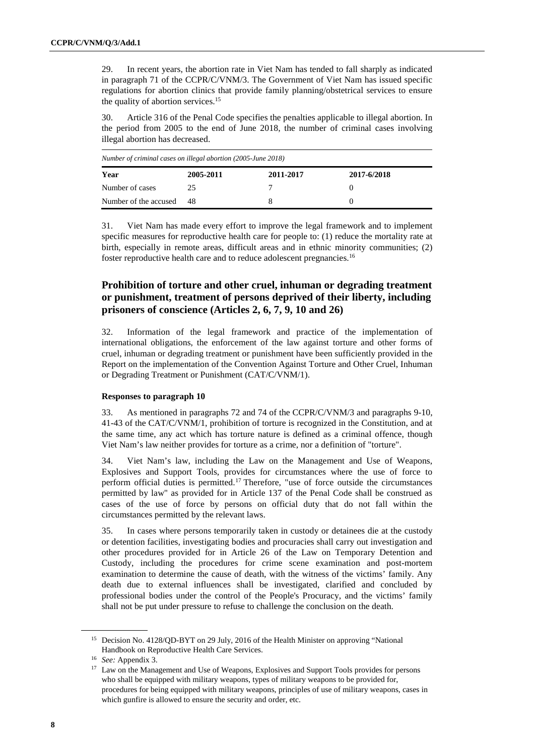29. In recent years, the abortion rate in Viet Nam has tended to fall sharply as indicated in paragraph 71 of the CCPR/C/VNM/3. The Government of Viet Nam has issued specific regulations for abortion clinics that provide family planning/obstetrical services to ensure the quality of abortion services.<sup>15</sup>

30. Article 316 of the Penal Code specifies the penalties applicable to illegal abortion. In the period from 2005 to the end of June 2018, the number of criminal cases involving illegal abortion has decreased.

| Number of criminal cases on illegal abortion (2005-June 2018) |           |           |             |
|---------------------------------------------------------------|-----------|-----------|-------------|
| Year                                                          | 2005-2011 | 2011-2017 | 2017-6/2018 |
| Number of cases                                               | 25        |           |             |
| Number of the accused                                         | 48        |           |             |

31. Viet Nam has made every effort to improve the legal framework and to implement specific measures for reproductive health care for people to: (1) reduce the mortality rate at birth, especially in remote areas, difficult areas and in ethnic minority communities; (2) foster reproductive health care and to reduce adolescent pregnancies.<sup>16</sup>

## **Prohibition of torture and other cruel, inhuman or degrading treatment or punishment, treatment of persons deprived of their liberty, including prisoners of conscience (Articles 2, 6, 7, 9, 10 and 26)**

32. Information of the legal framework and practice of the implementation of international obligations, the enforcement of the law against torture and other forms of cruel, inhuman or degrading treatment or punishment have been sufficiently provided in the Report on the implementation of the Convention Against Torture and Other Cruel, Inhuman or Degrading Treatment or Punishment (CAT/C/VNM/1).

#### **Responses to paragraph 10**

33. As mentioned in paragraphs 72 and 74 of the CCPR/C/VNM/3 and paragraphs 9-10, 41-43 of the CAT/C/VNM/1, prohibition of torture is recognized in the Constitution, and at the same time, any act which has torture nature is defined as a criminal offence, though Viet Nam's law neither provides for torture as a crime, nor a definition of "torture".

34. Viet Nam's law, including the Law on the Management and Use of Weapons, Explosives and Support Tools, provides for circumstances where the use of force to perform official duties is permitted.<sup>17</sup> Therefore, "use of force outside the circumstances permitted by law" as provided for in Article 137 of the Penal Code shall be construed as cases of the use of force by persons on official duty that do not fall within the circumstances permitted by the relevant laws.

35. In cases where persons temporarily taken in custody or detainees die at the custody or detention facilities, investigating bodies and procuracies shall carry out investigation and other procedures provided for in Article 26 of the Law on Temporary Detention and Custody, including the procedures for crime scene examination and post-mortem examination to determine the cause of death, with the witness of the victims' family. Any death due to external influences shall be investigated, clarified and concluded by professional bodies under the control of the People's Procuracy, and the victims' family shall not be put under pressure to refuse to challenge the conclusion on the death.

<sup>15</sup> Decision No. 4128/QD-BYT on 29 July, 2016 of the Health Minister on approving "National Handbook on Reproductive Health Care Services.

<sup>16</sup> *See:* Appendix 3.

<sup>&</sup>lt;sup>17</sup> Law on the Management and Use of Weapons, Explosives and Support Tools provides for persons who shall be equipped with military weapons, types of military weapons to be provided for, procedures for being equipped with military weapons, principles of use of military weapons, cases in which gunfire is allowed to ensure the security and order, etc.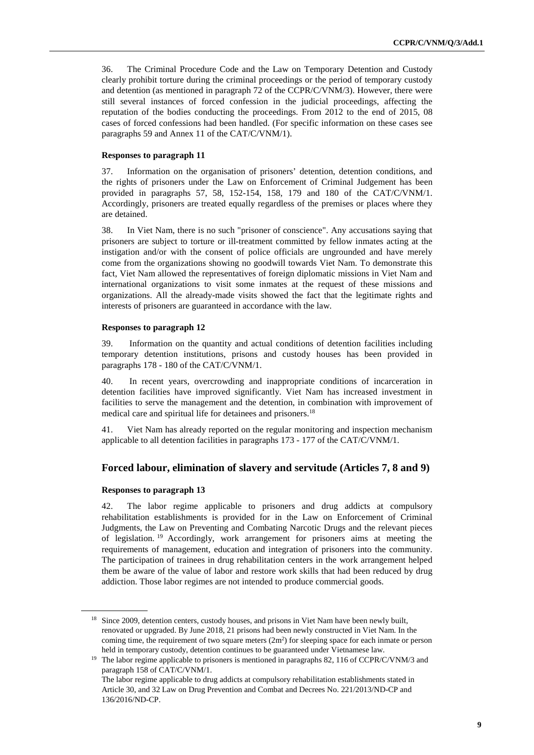36. The Criminal Procedure Code and the Law on Temporary Detention and Custody clearly prohibit torture during the criminal proceedings or the period of temporary custody and detention (as mentioned in paragraph 72 of the CCPR/C/VNM/3). However, there were still several instances of forced confession in the judicial proceedings, affecting the reputation of the bodies conducting the proceedings. From 2012 to the end of 2015, 08 cases of forced confessions had been handled. (For specific information on these cases see paragraphs 59 and Annex 11 of the CAT/C/VNM/1).

#### **Responses to paragraph 11**

37. Information on the organisation of prisoners' detention, detention conditions, and the rights of prisoners under the Law on Enforcement of Criminal Judgement has been provided in paragraphs 57, 58, 152-154, 158, 179 and 180 of the CAT/C/VNM/1. Accordingly, prisoners are treated equally regardless of the premises or places where they are detained.

38. In Viet Nam, there is no such "prisoner of conscience". Any accusations saying that prisoners are subject to torture or ill-treatment committed by fellow inmates acting at the instigation and/or with the consent of police officials are ungrounded and have merely come from the organizations showing no goodwill towards Viet Nam. To demonstrate this fact, Viet Nam allowed the representatives of foreign diplomatic missions in Viet Nam and international organizations to visit some inmates at the request of these missions and organizations. All the already-made visits showed the fact that the legitimate rights and interests of prisoners are guaranteed in accordance with the law.

#### **Responses to paragraph 12**

39. Information on the quantity and actual conditions of detention facilities including temporary detention institutions, prisons and custody houses has been provided in paragraphs 178 - 180 of the CAT/C/VNM/1.

40. In recent years, overcrowding and inappropriate conditions of incarceration in detention facilities have improved significantly. Viet Nam has increased investment in facilities to serve the management and the detention, in combination with improvement of medical care and spiritual life for detainees and prisoners.<sup>18</sup>

41. Viet Nam has already reported on the regular monitoring and inspection mechanism applicable to all detention facilities in paragraphs 173 - 177 of the CAT/C/VNM/1.

## **Forced labour, elimination of slavery and servitude (Articles 7, 8 and 9)**

#### **Responses to paragraph 13**

 $\overline{a}$ 

42. The labor regime applicable to prisoners and drug addicts at compulsory rehabilitation establishments is provided for in the Law on Enforcement of Criminal Judgments, the Law on Preventing and Combating Narcotic Drugs and the relevant pieces of legislation. <sup>19</sup> Accordingly, work arrangement for prisoners aims at meeting the requirements of management, education and integration of prisoners into the community. The participation of trainees in drug rehabilitation centers in the work arrangement helped them be aware of the value of labor and restore work skills that had been reduced by drug addiction. Those labor regimes are not intended to produce commercial goods.

<sup>&</sup>lt;sup>18</sup> Since 2009, detention centers, custody houses, and prisons in Viet Nam have been newly built, renovated or upgraded. By June 2018, 21 prisons had been newly constructed in Viet Nam. In the coming time, the requirement of two square meters  $(2m^2)$  for sleeping space for each inmate or person held in temporary custody, detention continues to be guaranteed under Vietnamese law.

<sup>&</sup>lt;sup>19</sup> The labor regime applicable to prisoners is mentioned in paragraphs 82, 116 of CCPR/C/VNM/3 and paragraph 158 of CAT/C/VNM/1.

The labor regime applicable to drug addicts at compulsory rehabilitation establishments stated in Article 30, and 32 Law on Drug Prevention and Combat and Decrees No. 221/2013/ND-CP and 136/2016/ND-CP.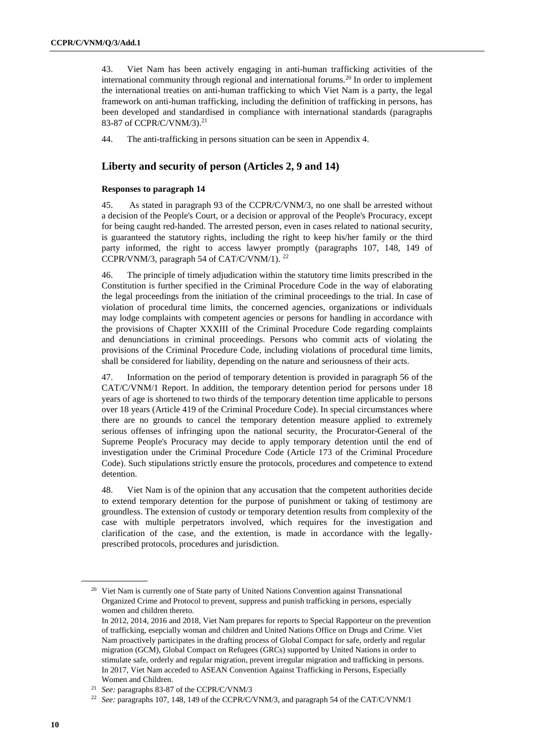43. Viet Nam has been actively engaging in anti-human trafficking activities of the international community through regional and international forums.<sup>20</sup> In order to implement the international treaties on anti-human trafficking to which Viet Nam is a party, the legal framework on anti-human trafficking, including the definition of trafficking in persons, has been developed and standardised in compliance with international standards (paragraphs 83-87 of CCPR/C/VNM/3).<sup>21</sup>

44. The anti-trafficking in persons situation can be seen in Appendix 4.

## **Liberty and security of person (Articles 2, 9 and 14)**

#### **Responses to paragraph 14**

45. As stated in paragraph 93 of the CCPR/C/VNM/3, no one shall be arrested without a decision of the People's Court, or a decision or approval of the People's Procuracy, except for being caught red-handed. The arrested person, even in cases related to national security, is guaranteed the statutory rights, including the right to keep his/her family or the third party informed, the right to access lawyer promptly (paragraphs 107, 148, 149 of CCPR/VNM/3, paragraph 54 of CAT/C/VNM/1). <sup>22</sup>

46. The principle of timely adjudication within the statutory time limits prescribed in the Constitution is further specified in the Criminal Procedure Code in the way of elaborating the legal proceedings from the initiation of the criminal proceedings to the trial. In case of violation of procedural time limits, the concerned agencies, organizations or individuals may lodge complaints with competent agencies or persons for handling in accordance with the provisions of Chapter XXXIII of the Criminal Procedure Code regarding complaints and denunciations in criminal proceedings. Persons who commit acts of violating the provisions of the Criminal Procedure Code, including violations of procedural time limits, shall be considered for liability, depending on the nature and seriousness of their acts.

47. Information on the period of temporary detention is provided in paragraph 56 of the CAT/C/VNM/1 Report. In addition, the temporary detention period for persons under 18 years of age is shortened to two thirds of the temporary detention time applicable to persons over 18 years (Article 419 of the Criminal Procedure Code). In special circumstances where there are no grounds to cancel the temporary detention measure applied to extremely serious offenses of infringing upon the national security, the Procurator-General of the Supreme People's Procuracy may decide to apply temporary detention until the end of investigation under the Criminal Procedure Code (Article 173 of the Criminal Procedure Code). Such stipulations strictly ensure the protocols, procedures and competence to extend detention.

48. Viet Nam is of the opinion that any accusation that the competent authorities decide to extend temporary detention for the purpose of punishment or taking of testimony are groundless. The extension of custody or temporary detention results from complexity of the case with multiple perpetrators involved, which requires for the investigation and clarification of the case, and the extention, is made in accordance with the legallyprescribed protocols, procedures and jurisdiction.

<sup>&</sup>lt;sup>20</sup> Viet Nam is currently one of State party of United Nations Convention against Transnational Organized Crime and Protocol to prevent, suppress and punish trafficking in persons, especially women and children thereto.

In 2012, 2014, 2016 and 2018, Viet Nam prepares for reports to Special Rapporteur on the prevention of trafficking, esepcially woman and children and United Nations Office on Drugs and Crime. Viet Nam proactively participates in the drafting process of Global Compact for safe, orderly and regular migration (GCM), Global Compact on Refugees (GRCs) supported by United Nations in order to stimulate safe, orderly and regular migration, prevent irregular migration and trafficking in persons. In 2017, Viet Nam acceded to ASEAN Convention Against Trafficking in Persons, Especially Women and Children.

<sup>21</sup> *See:* paragraphs 83-87 of the CCPR/C/VNM/3

<sup>22</sup> *See:* paragraphs 107, 148, 149 of the CCPR/C/VNM/3, and paragraph 54 of the CAT/C/VNM/1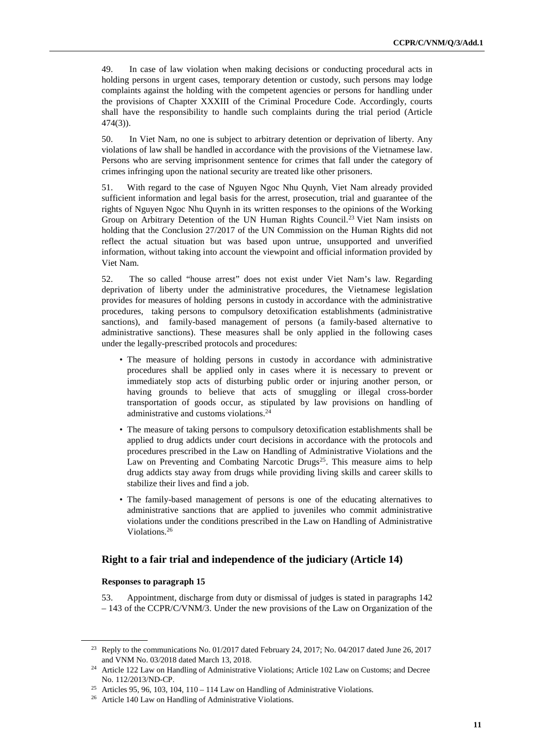49. In case of law violation when making decisions or conducting procedural acts in holding persons in urgent cases, temporary detention or custody, such persons may lodge complaints against the holding with the competent agencies or persons for handling under the provisions of Chapter XXXIII of the Criminal Procedure Code. Accordingly, courts shall have the responsibility to handle such complaints during the trial period (Article 474(3)).

50. In Viet Nam, no one is subject to arbitrary detention or deprivation of liberty. Any violations of law shall be handled in accordance with the provisions of the Vietnamese law. Persons who are serving imprisonment sentence for crimes that fall under the category of crimes infringing upon the national security are treated like other prisoners.

51. With regard to the case of Nguyen Ngoc Nhu Quynh, Viet Nam already provided sufficient information and legal basis for the arrest, prosecution, trial and guarantee of the rights of Nguyen Ngoc Nhu Quynh in its written responses to the opinions of the Working Group on Arbitrary Detention of the UN Human Rights Council.<sup>23</sup> Viet Nam insists on holding that the Conclusion 27/2017 of the UN Commission on the Human Rights did not reflect the actual situation but was based upon untrue, unsupported and unverified information, without taking into account the viewpoint and official information provided by Viet Nam.

52. The so called "house arrest" does not exist under Viet Nam's law. Regarding deprivation of liberty under the administrative procedures, the Vietnamese legislation provides for measures of holding persons in custody in accordance with the administrative procedures, taking persons to compulsory detoxification establishments (administrative sanctions), and family-based management of persons (a family-based alternative to administrative sanctions). These measures shall be only applied in the following cases under the legally-prescribed protocols and procedures:

- The measure of holding persons in custody in accordance with administrative procedures shall be applied only in cases where it is necessary to prevent or immediately stop acts of disturbing public order or injuring another person, or having grounds to believe that acts of smuggling or illegal cross-border transportation of goods occur, as stipulated by law provisions on handling of administrative and customs violations.<sup>24</sup>
- The measure of taking persons to compulsory detoxification establishments shall be applied to drug addicts under court decisions in accordance with the protocols and procedures prescribed in the Law on Handling of Administrative Violations and the Law on Preventing and Combating Narcotic Drugs<sup>25</sup>. This measure aims to help drug addicts stay away from drugs while providing living skills and career skills to stabilize their lives and find a job.
- The family-based management of persons is one of the educating alternatives to administrative sanctions that are applied to juveniles who commit administrative violations under the conditions prescribed in the Law on Handling of Administrative Violations.<sup>26</sup>

#### **Right to a fair trial and independence of the judiciary (Article 14)**

#### **Responses to paragraph 15**

 $\overline{a}$ 

53. Appointment, discharge from duty or dismissal of judges is stated in paragraphs 142 – 143 of the CCPR/C/VNM/3. Under the new provisions of the Law on Organization of the

<sup>&</sup>lt;sup>23</sup> Reply to the communications No. 01/2017 dated February 24, 2017; No. 04/2017 dated June 26, 2017 and VNM No. 03/2018 dated March 13, 2018.

<sup>&</sup>lt;sup>24</sup> Article 122 Law on Handling of Administrative Violations; Article 102 Law on Customs; and Decree No. 112/2013/ND-CP.

<sup>&</sup>lt;sup>25</sup> Articles 95, 96, 103, 104, 110 – 114 Law on Handling of Administrative Violations.

<sup>&</sup>lt;sup>26</sup> Article 140 Law on Handling of Administrative Violations.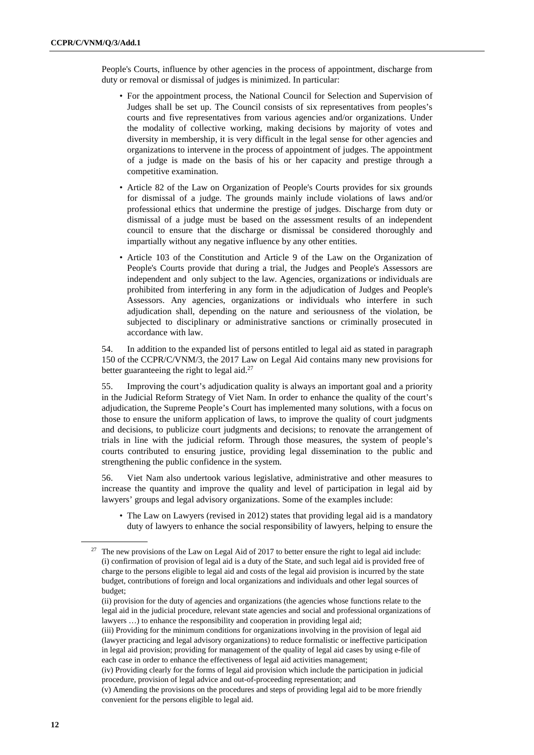People's Courts, influence by other agencies in the process of appointment, discharge from duty or removal or dismissal of judges is minimized. In particular:

- For the appointment process, the National Council for Selection and Supervision of Judges shall be set up. The Council consists of six representatives from peoples's courts and five representatives from various agencies and/or organizations. Under the modality of collective working, making decisions by majority of votes and diversity in membership, it is very difficult in the legal sense for other agencies and organizations to intervene in the process of appointment of judges. The appointment of a judge is made on the basis of his or her capacity and prestige through a competitive examination.
- Article 82 of the Law on Organization of People's Courts provides for six grounds for dismissal of a judge. The grounds mainly include violations of laws and/or professional ethics that undermine the prestige of judges. Discharge from duty or dismissal of a judge must be based on the assessment results of an independent council to ensure that the discharge or dismissal be considered thoroughly and impartially without any negative influence by any other entities.
- Article 103 of the Constitution and Article 9 of the Law on the Organization of People's Courts provide that during a trial, the Judges and People's Assessors are independent and only subject to the law. Agencies, organizations or individuals are prohibited from interfering in any form in the adjudication of Judges and People's Assessors. Any agencies, organizations or individuals who interfere in such adjudication shall, depending on the nature and seriousness of the violation, be subjected to disciplinary or administrative sanctions or criminally prosecuted in accordance with law.

54. In addition to the expanded list of persons entitled to legal aid as stated in paragraph 150 of the CCPR/C/VNM/3, the 2017 Law on Legal Aid contains many new provisions for better guaranteeing the right to legal aid. $27$ 

55. Improving the court's adjudication quality is always an important goal and a priority in the Judicial Reform Strategy of Viet Nam. In order to enhance the quality of the court's adjudication, the Supreme People's Court has implemented many solutions, with a focus on those to ensure the uniform application of laws, to improve the quality of court judgments and decisions, to publicize court judgments and decisions; to renovate the arrangement of trials in line with the judicial reform. Through those measures, the system of people's courts contributed to ensuring justice, providing legal dissemination to the public and strengthening the public confidence in the system.

56. Viet Nam also undertook various legislative, administrative and other measures to increase the quantity and improve the quality and level of participation in legal aid by lawyers' groups and legal advisory organizations. Some of the examples include:

• The Law on Lawyers (revised in 2012) states that providing legal aid is a mandatory duty of lawyers to enhance the social responsibility of lawyers, helping to ensure the

<sup>&</sup>lt;sup>27</sup> The new provisions of the Law on Legal Aid of 2017 to better ensure the right to legal aid include: (i) confirmation of provision of legal aid is a duty of the State, and such legal aid is provided free of charge to the persons eligible to legal aid and costs of the legal aid provision is incurred by the state budget, contributions of foreign and local organizations and individuals and other legal sources of budget;

 <sup>(</sup>ii) provision for the duty of agencies and organizations (the agencies whose functions relate to the legal aid in the judicial procedure, relevant state agencies and social and professional organizations of lawyers …) to enhance the responsibility and cooperation in providing legal aid;

 <sup>(</sup>iii) Providing for the minimum conditions for organizations involving in the provision of legal aid (lawyer practicing and legal advisory organizations) to reduce formalistic or ineffective participation in legal aid provision; providing for management of the quality of legal aid cases by using e-file of each case in order to enhance the effectiveness of legal aid activities management;

 <sup>(</sup>iv) Providing clearly for the forms of legal aid provision which include the participation in judicial procedure, provision of legal advice and out-of-proceeding representation; and

 <sup>(</sup>v) Amending the provisions on the procedures and steps of providing legal aid to be more friendly convenient for the persons eligible to legal aid.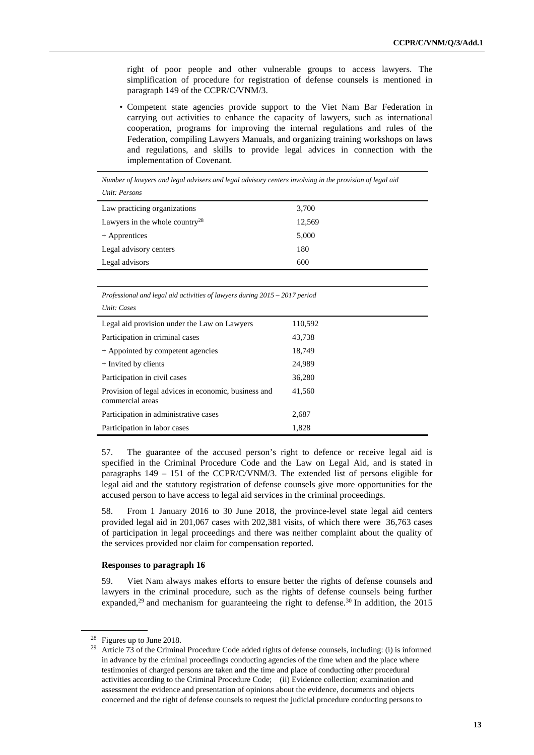right of poor people and other vulnerable groups to access lawyers. The simplification of procedure for registration of defense counsels is mentioned in paragraph 149 of the CCPR/C/VNM/3.

• Competent state agencies provide support to the Viet Nam Bar Federation in carrying out activities to enhance the capacity of lawyers, such as international cooperation, programs for improving the internal regulations and rules of the Federation, compiling Lawyers Manuals, and organizing training workshops on laws and regulations, and skills to provide legal advices in connection with the implementation of Covenant.

*Number of lawyers and legal advisers and legal advisory centers involving in the provision of legal aid Unit: Persons* 

| Unit: Persons                              |        |  |
|--------------------------------------------|--------|--|
| Law practicing organizations               | 3,700  |  |
| Lawyers in the whole country <sup>28</sup> | 12,569 |  |
| + Apprentices                              | 5,000  |  |
| Legal advisory centers                     | 180    |  |
| Legal advisors                             | 600    |  |
|                                            |        |  |

*Professional and legal aid activities of lawyers during 2015 – 2017 period Unit: Cases* 

| Legal aid provision under the Law on Lawyers                             | 110,592 |
|--------------------------------------------------------------------------|---------|
| Participation in criminal cases                                          | 43,738  |
| + Appointed by competent agencies                                        | 18,749  |
| + Invited by clients                                                     | 24,989  |
| Participation in civil cases                                             | 36,280  |
| Provision of legal advices in economic, business and<br>commercial areas | 41,560  |
| Participation in administrative cases                                    | 2,687   |
| Participation in labor cases                                             | 1,828   |

57. The guarantee of the accused person's right to defence or receive legal aid is specified in the Criminal Procedure Code and the Law on Legal Aid, and is stated in paragraphs 149 – 151 of the CCPR/C/VNM/3. The extended list of persons eligible for legal aid and the statutory registration of defense counsels give more opportunities for the accused person to have access to legal aid services in the criminal proceedings.

58. From 1 January 2016 to 30 June 2018, the province-level state legal aid centers provided legal aid in 201,067 cases with 202,381 visits, of which there were 36,763 cases of participation in legal proceedings and there was neither complaint about the quality of the services provided nor claim for compensation reported.

#### **Responses to paragraph 16**

59. Viet Nam always makes efforts to ensure better the rights of defense counsels and lawyers in the criminal procedure, such as the rights of defense counsels being further expanded,<sup>29</sup> and mechanism for guaranteeing the right to defense.<sup>30</sup> In addition, the  $2015$ 

<sup>&</sup>lt;sup>28</sup> Figures up to June 2018.

Article 73 of the Criminal Procedure Code added rights of defense counsels, including: (i) is informed in advance by the criminal proceedings conducting agencies of the time when and the place where testimonies of charged persons are taken and the time and place of conducting other procedural activities according to the Criminal Procedure Code; (ii) Evidence collection; examination and assessment the evidence and presentation of opinions about the evidence, documents and objects concerned and the right of defense counsels to request the judicial procedure conducting persons to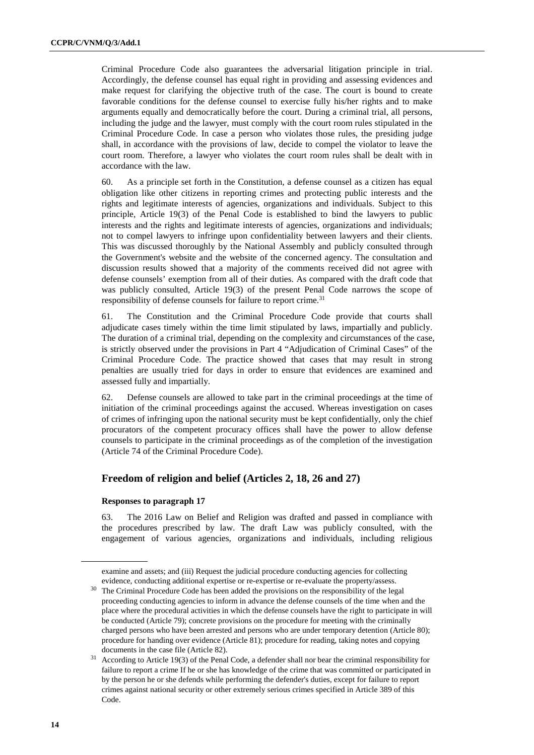Criminal Procedure Code also guarantees the adversarial litigation principle in trial. Accordingly, the defense counsel has equal right in providing and assessing evidences and make request for clarifying the objective truth of the case. The court is bound to create favorable conditions for the defense counsel to exercise fully his/her rights and to make arguments equally and democratically before the court. During a criminal trial, all persons, including the judge and the lawyer, must comply with the court room rules stipulated in the Criminal Procedure Code. In case a person who violates those rules, the presiding judge shall, in accordance with the provisions of law, decide to compel the violator to leave the court room. Therefore, a lawyer who violates the court room rules shall be dealt with in accordance with the law.

60. As a principle set forth in the Constitution, a defense counsel as a citizen has equal obligation like other citizens in reporting crimes and protecting public interests and the rights and legitimate interests of agencies, organizations and individuals. Subject to this principle, Article 19(3) of the Penal Code is established to bind the lawyers to public interests and the rights and legitimate interests of agencies, organizations and individuals; not to compel lawyers to infringe upon confidentiality between lawyers and their clients. This was discussed thoroughly by the National Assembly and publicly consulted through the Government's website and the website of the concerned agency. The consultation and discussion results showed that a majority of the comments received did not agree with defense counsels' exemption from all of their duties. As compared with the draft code that was publicly consulted, Article 19(3) of the present Penal Code narrows the scope of responsibility of defense counsels for failure to report crime.<sup>31</sup>

61. The Constitution and the Criminal Procedure Code provide that courts shall adjudicate cases timely within the time limit stipulated by laws, impartially and publicly. The duration of a criminal trial, depending on the complexity and circumstances of the case, is strictly observed under the provisions in Part 4 "Adjudication of Criminal Cases" of the Criminal Procedure Code. The practice showed that cases that may result in strong penalties are usually tried for days in order to ensure that evidences are examined and assessed fully and impartially.

62. Defense counsels are allowed to take part in the criminal proceedings at the time of initiation of the criminal proceedings against the accused. Whereas investigation on cases of crimes of infringing upon the national security must be kept confidentially, only the chief procurators of the competent procuracy offices shall have the power to allow defense counsels to participate in the criminal proceedings as of the completion of the investigation (Article 74 of the Criminal Procedure Code).

## **Freedom of religion and belief (Articles 2, 18, 26 and 27)**

#### **Responses to paragraph 17**

63. The 2016 Law on Belief and Religion was drafted and passed in compliance with the procedures prescribed by law. The draft Law was publicly consulted, with the engagement of various agencies, organizations and individuals, including religious

examine and assets; and (iii) Request the judicial procedure conducting agencies for collecting evidence, conducting additional expertise or re-expertise or re-evaluate the property/assess.

<sup>&</sup>lt;sup>30</sup> The Criminal Procedure Code has been added the provisions on the responsibility of the legal proceeding conducting agencies to inform in advance the defense counsels of the time when and the place where the procedural activities in which the defense counsels have the right to participate in will be conducted (Article 79); concrete provisions on the procedure for meeting with the criminally charged persons who have been arrested and persons who are under temporary detention (Article 80); procedure for handing over evidence (Article 81); procedure for reading, taking notes and copying documents in the case file (Article 82).

<sup>31</sup> According to Article 19(3) of the Penal Code, a defender shall nor bear the criminal responsibility for failure to report a crime If he or she has knowledge of the crime that was committed or participated in by the person he or she defends while performing the defender's duties, except for failure to report crimes against national security or other extremely serious crimes specified in Article 389 of this Code.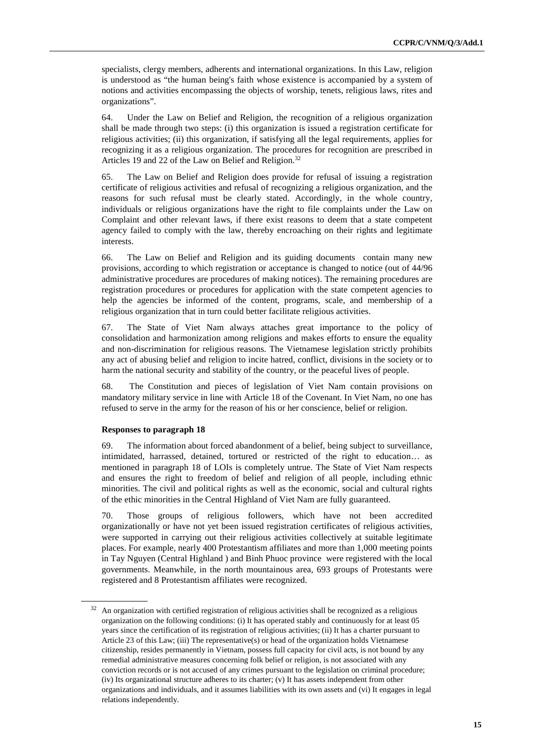specialists, clergy members, adherents and international organizations. In this Law, religion is understood as "the human being's faith whose existence is accompanied by a system of notions and activities encompassing the objects of worship, tenets, religious laws, rites and organizations".

64. Under the Law on Belief and Religion, the recognition of a religious organization shall be made through two steps: (i) this organization is issued a registration certificate for religious activities; (ii) this organization, if satisfying all the legal requirements, applies for recognizing it as a religious organization. The procedures for recognition are prescribed in Articles 19 and 22 of the Law on Belief and Religion.<sup>32</sup>

65. The Law on Belief and Religion does provide for refusal of issuing a registration certificate of religious activities and refusal of recognizing a religious organization, and the reasons for such refusal must be clearly stated. Accordingly, in the whole country, individuals or religious organizations have the right to file complaints under the Law on Complaint and other relevant laws, if there exist reasons to deem that a state competent agency failed to comply with the law, thereby encroaching on their rights and legitimate interests.

66. The Law on Belief and Religion and its guiding documents contain many new provisions, according to which registration or acceptance is changed to notice (out of 44/96 administrative procedures are procedures of making notices). The remaining procedures are registration procedures or procedures for application with the state competent agencies to help the agencies be informed of the content, programs, scale, and membership of a religious organization that in turn could better facilitate religious activities.

67. The State of Viet Nam always attaches great importance to the policy of consolidation and harmonization among religions and makes efforts to ensure the equality and non-discrimination for religious reasons. The Vietnamese legislation strictly prohibits any act of abusing belief and religion to incite hatred, conflict, divisions in the society or to harm the national security and stability of the country, or the peaceful lives of people.

68. The Constitution and pieces of legislation of Viet Nam contain provisions on mandatory military service in line with Article 18 of the Covenant. In Viet Nam, no one has refused to serve in the army for the reason of his or her conscience, belief or religion.

#### **Responses to paragraph 18**

 $\overline{a}$ 

69. The information about forced abandonment of a belief, being subject to surveillance, intimidated, harrassed, detained, tortured or restricted of the right to education… as mentioned in paragraph 18 of LOIs is completely untrue. The State of Viet Nam respects and ensures the right to freedom of belief and religion of all people, including ethnic minorities. The civil and political rights as well as the economic, social and cultural rights of the ethic minorities in the Central Highland of Viet Nam are fully guaranteed.

70. Those groups of religious followers, which have not been accredited organizationally or have not yet been issued registration certificates of religious activities, were supported in carrying out their religious activities collectively at suitable legitimate places. For example, nearly 400 Protestantism affiliates and more than 1,000 meeting points in Tay Nguyen (Central Highland ) and Binh Phuoc province were registered with the local governments. Meanwhile, in the north mountainous area, 693 groups of Protestants were registered and 8 Protestantism affiliates were recognized.

 $32$  An organization with certified registration of religious activities shall be recognized as a religious organization on the following conditions: (i) It has operated stably and continuously for at least 05 years since the certification of its registration of religious activities; (ii) It has a charter pursuant to Article 23 of this Law; (iii) The representative(s) or head of the organization holds Vietnamese citizenship, resides permanently in Vietnam, possess full capacity for civil acts, is not bound by any remedial administrative measures concerning folk belief or religion, is not associated with any conviction records or is not accused of any crimes pursuant to the legislation on criminal procedure; (iv) Its organizational structure adheres to its charter; (v) It has assets independent from other organizations and individuals, and it assumes liabilities with its own assets and (vi) It engages in legal relations independently.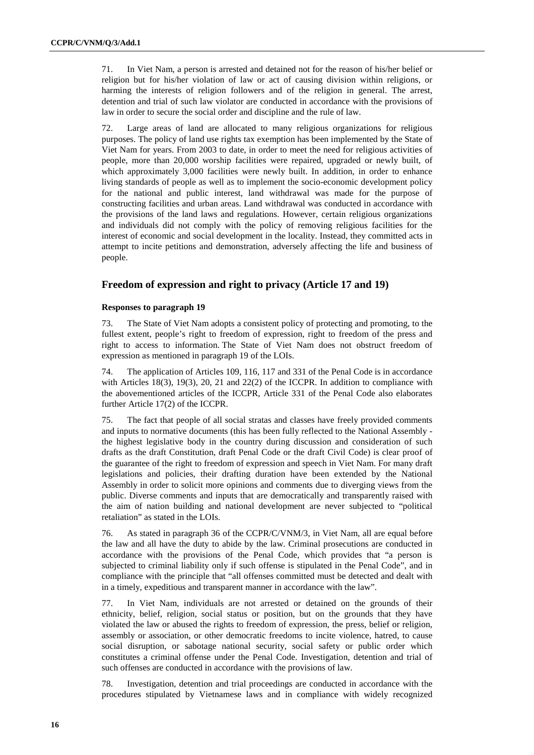71. In Viet Nam, a person is arrested and detained not for the reason of his/her belief or religion but for his/her violation of law or act of causing division within religions, or harming the interests of religion followers and of the religion in general. The arrest, detention and trial of such law violator are conducted in accordance with the provisions of law in order to secure the social order and discipline and the rule of law.

72. Large areas of land are allocated to many religious organizations for religious purposes. The policy of land use rights tax exemption has been implemented by the State of Viet Nam for years. From 2003 to date, in order to meet the need for religious activities of people, more than 20,000 worship facilities were repaired, upgraded or newly built, of which approximately 3,000 facilities were newly built. In addition, in order to enhance living standards of people as well as to implement the socio-economic development policy for the national and public interest, land withdrawal was made for the purpose of constructing facilities and urban areas. Land withdrawal was conducted in accordance with the provisions of the land laws and regulations. However, certain religious organizations and individuals did not comply with the policy of removing religious facilities for the interest of economic and social development in the locality. Instead, they committed acts in attempt to incite petitions and demonstration, adversely affecting the life and business of people.

## **Freedom of expression and right to privacy (Article 17 and 19)**

#### **Responses to paragraph 19**

73. The State of Viet Nam adopts a consistent policy of protecting and promoting, to the fullest extent, people's right to freedom of expression, right to freedom of the press and right to access to information. The State of Viet Nam does not obstruct freedom of expression as mentioned in paragraph 19 of the LOIs.

74. The application of Articles 109, 116, 117 and 331 of the Penal Code is in accordance with Articles  $18(3)$ ,  $19(3)$ ,  $20$ ,  $21$  and  $22(2)$  of the ICCPR. In addition to compliance with the abovementioned articles of the ICCPR, Article 331 of the Penal Code also elaborates further Article 17(2) of the ICCPR.

75. The fact that people of all social stratas and classes have freely provided comments and inputs to normative documents (this has been fully reflected to the National Assembly the highest legislative body in the country during discussion and consideration of such drafts as the draft Constitution, draft Penal Code or the draft Civil Code) is clear proof of the guarantee of the right to freedom of expression and speech in Viet Nam. For many draft legislations and policies, their drafting duration have been extended by the National Assembly in order to solicit more opinions and comments due to diverging views from the public. Diverse comments and inputs that are democratically and transparently raised with the aim of nation building and national development are never subjected to "political retaliation" as stated in the LOIs.

76. As stated in paragraph 36 of the CCPR/C/VNM/3, in Viet Nam, all are equal before the law and all have the duty to abide by the law. Criminal prosecutions are conducted in accordance with the provisions of the Penal Code, which provides that "a person is subjected to criminal liability only if such offense is stipulated in the Penal Code", and in compliance with the principle that "all offenses committed must be detected and dealt with in a timely, expeditious and transparent manner in accordance with the law".

77. In Viet Nam, individuals are not arrested or detained on the grounds of their ethnicity, belief, religion, social status or position, but on the grounds that they have violated the law or abused the rights to freedom of expression, the press, belief or religion, assembly or association, or other democratic freedoms to incite violence, hatred, to cause social disruption, or sabotage national security, social safety or public order which constitutes a criminal offense under the Penal Code. Investigation, detention and trial of such offenses are conducted in accordance with the provisions of law.

78. Investigation, detention and trial proceedings are conducted in accordance with the procedures stipulated by Vietnamese laws and in compliance with widely recognized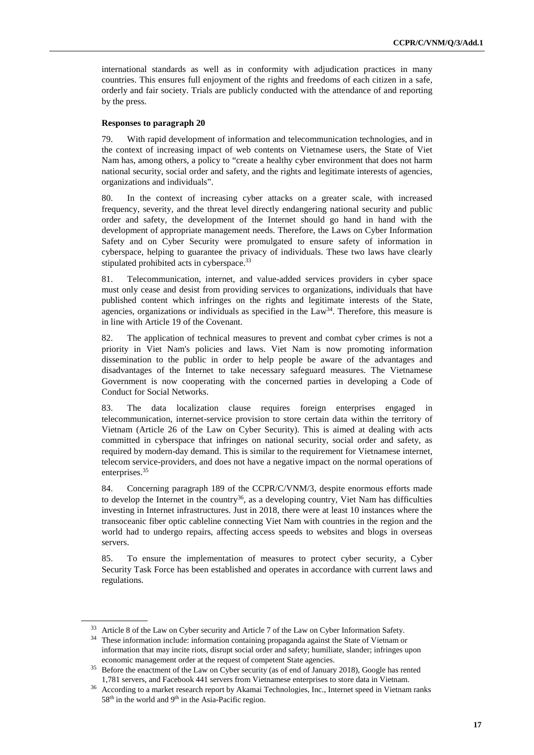international standards as well as in conformity with adjudication practices in many countries. This ensures full enjoyment of the rights and freedoms of each citizen in a safe, orderly and fair society. Trials are publicly conducted with the attendance of and reporting by the press.

#### **Responses to paragraph 20**

79. With rapid development of information and telecommunication technologies, and in the context of increasing impact of web contents on Vietnamese users, the State of Viet Nam has, among others, a policy to "create a healthy cyber environment that does not harm national security, social order and safety, and the rights and legitimate interests of agencies, organizations and individuals".

80. In the context of increasing cyber attacks on a greater scale, with increased frequency, severity, and the threat level directly endangering national security and public order and safety, the development of the Internet should go hand in hand with the development of appropriate management needs. Therefore, the Laws on Cyber Information Safety and on Cyber Security were promulgated to ensure safety of information in cyberspace, helping to guarantee the privacy of individuals. These two laws have clearly stipulated prohibited acts in cyberspace.<sup>33</sup>

81. Telecommunication, internet, and value-added services providers in cyber space must only cease and desist from providing services to organizations, individuals that have published content which infringes on the rights and legitimate interests of the State, agencies, organizations or individuals as specified in the  $Law<sup>34</sup>$ . Therefore, this measure is in line with Article 19 of the Covenant.

82. The application of technical measures to prevent and combat cyber crimes is not a priority in Viet Nam's policies and laws. Viet Nam is now promoting information dissemination to the public in order to help people be aware of the advantages and disadvantages of the Internet to take necessary safeguard measures. The Vietnamese Government is now cooperating with the concerned parties in developing a Code of Conduct for Social Networks.

83. The data localization clause requires foreign enterprises engaged in telecommunication, internet-service provision to store certain data within the territory of Vietnam (Article 26 of the Law on Cyber Security). This is aimed at dealing with acts committed in cyberspace that infringes on national security, social order and safety, as required by modern-day demand. This is similar to the requirement for Vietnamese internet, telecom service-providers, and does not have a negative impact on the normal operations of enterprises.<sup>35</sup>

84. Concerning paragraph 189 of the CCPR/C/VNM/3, despite enormous efforts made to develop the Internet in the country<sup>36</sup>, as a developing country, Viet Nam has difficulties investing in Internet infrastructures. Just in 2018, there were at least 10 instances where the transoceanic fiber optic cableline connecting Viet Nam with countries in the region and the world had to undergo repairs, affecting access speeds to websites and blogs in overseas servers.

85. To ensure the implementation of measures to protect cyber security, a Cyber Security Task Force has been established and operates in accordance with current laws and regulations.

Article 8 of the Law on Cyber security and Article 7 of the Law on Cyber Information Safety.

<sup>&</sup>lt;sup>34</sup> These information include: information containing propaganda against the State of Vietnam or information that may incite riots, disrupt social order and safety; humiliate, slander; infringes upon economic management order at the request of competent State agencies.

<sup>&</sup>lt;sup>35</sup> Before the enactment of the Law on Cyber security (as of end of January 2018), Google has rented 1,781 servers, and Facebook 441 servers from Vietnamese enterprises to store data in Vietnam.

<sup>36</sup> According to a market research report by Akamai Technologies, Inc., Internet speed in Vietnam ranks  $58<sup>th</sup>$  in the world and  $9<sup>th</sup>$  in the Asia-Pacific region.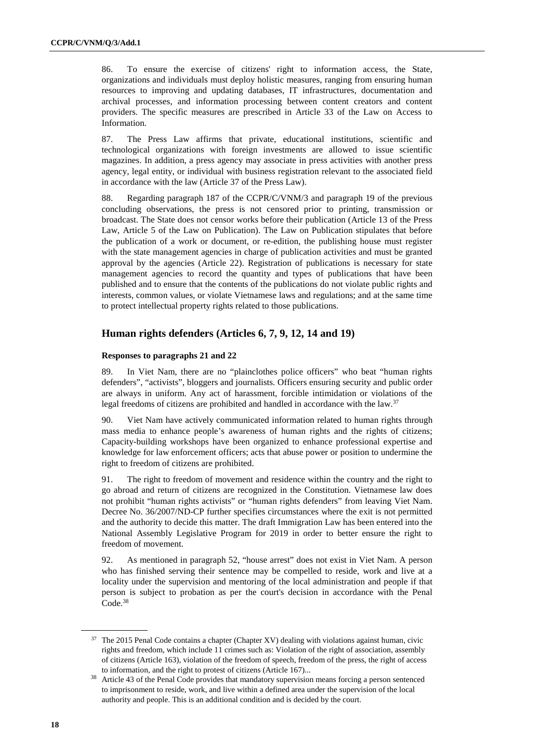86. To ensure the exercise of citizens' right to information access, the State, organizations and individuals must deploy holistic measures, ranging from ensuring human resources to improving and updating databases, IT infrastructures, documentation and archival processes, and information processing between content creators and content providers. The specific measures are prescribed in Article 33 of the Law on Access to Information.

87. The Press Law affirms that private, educational institutions, scientific and technological organizations with foreign investments are allowed to issue scientific magazines. In addition, a press agency may associate in press activities with another press agency, legal entity, or individual with business registration relevant to the associated field in accordance with the law (Article 37 of the Press Law).

88. Regarding paragraph 187 of the CCPR/C/VNM/3 and paragraph 19 of the previous concluding observations, the press is not censored prior to printing, transmission or broadcast. The State does not censor works before their publication (Article 13 of the Press Law, Article 5 of the Law on Publication). The Law on Publication stipulates that before the publication of a work or document, or re-edition, the publishing house must register with the state management agencies in charge of publication activities and must be granted approval by the agencies (Article 22). Registration of publications is necessary for state management agencies to record the quantity and types of publications that have been published and to ensure that the contents of the publications do not violate public rights and interests, common values, or violate Vietnamese laws and regulations; and at the same time to protect intellectual property rights related to those publications.

## **Human rights defenders (Articles 6, 7, 9, 12, 14 and 19)**

#### **Responses to paragraphs 21 and 22**

89. In Viet Nam, there are no "plainclothes police officers" who beat "human rights defenders", "activists", bloggers and journalists. Officers ensuring security and public order are always in uniform. Any act of harassment, forcible intimidation or violations of the legal freedoms of citizens are prohibited and handled in accordance with the law.<sup>37</sup>

90. Viet Nam have actively communicated information related to human rights through mass media to enhance people's awareness of human rights and the rights of citizens; Capacity-building workshops have been organized to enhance professional expertise and knowledge for law enforcement officers; acts that abuse power or position to undermine the right to freedom of citizens are prohibited.

91. The right to freedom of movement and residence within the country and the right to go abroad and return of citizens are recognized in the Constitution. Vietnamese law does not prohibit "human rights activists" or "human rights defenders" from leaving Viet Nam. Decree No. 36/2007/ND-CP further specifies circumstances where the exit is not permitted and the authority to decide this matter. The draft Immigration Law has been entered into the National Assembly Legislative Program for 2019 in order to better ensure the right to freedom of movement.

92. As mentioned in paragraph 52, "house arrest" does not exist in Viet Nam. A person who has finished serving their sentence may be compelled to reside, work and live at a locality under the supervision and mentoring of the local administration and people if that person is subject to probation as per the court's decision in accordance with the Penal Code.<sup>38</sup>

<sup>&</sup>lt;sup>37</sup> The 2015 Penal Code contains a chapter (Chapter XV) dealing with violations against human, civic rights and freedom, which include 11 crimes such as: Violation of the right of association, assembly of citizens (Article 163), violation of the freedom of speech, freedom of the press, the right of access to information, and the right to protest of citizens (Article 167)...

<sup>&</sup>lt;sup>38</sup> Article 43 of the Penal Code provides that mandatory supervision means forcing a person sentenced to imprisonment to reside, work, and live within a defined area under the supervision of the local authority and people. This is an additional condition and is decided by the court.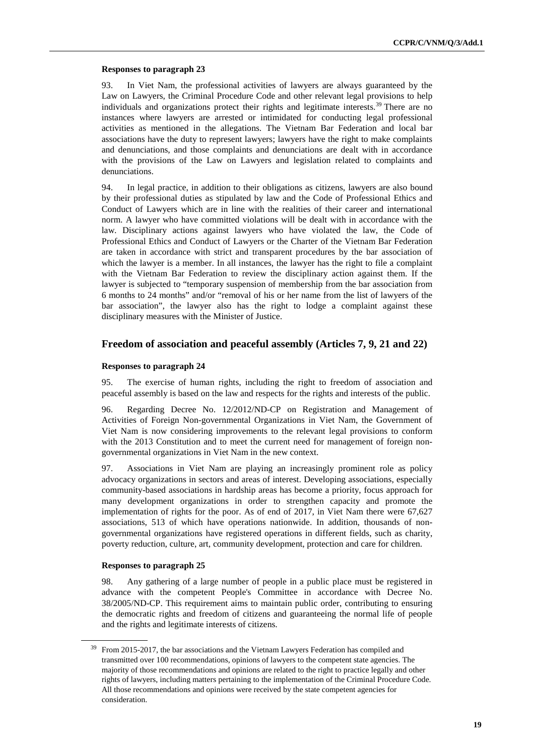#### **Responses to paragraph 23**

93. In Viet Nam, the professional activities of lawyers are always guaranteed by the Law on Lawyers, the Criminal Procedure Code and other relevant legal provisions to help individuals and organizations protect their rights and legitimate interests.<sup>39</sup> There are no instances where lawyers are arrested or intimidated for conducting legal professional activities as mentioned in the allegations. The Vietnam Bar Federation and local bar associations have the duty to represent lawyers; lawyers have the right to make complaints and denunciations, and those complaints and denunciations are dealt with in accordance with the provisions of the Law on Lawyers and legislation related to complaints and denunciations.

94. In legal practice, in addition to their obligations as citizens, lawyers are also bound by their professional duties as stipulated by law and the Code of Professional Ethics and Conduct of Lawyers which are in line with the realities of their career and international norm. A lawyer who have committed violations will be dealt with in accordance with the law. Disciplinary actions against lawyers who have violated the law, the Code of Professional Ethics and Conduct of Lawyers or the Charter of the Vietnam Bar Federation are taken in accordance with strict and transparent procedures by the bar association of which the lawyer is a member. In all instances, the lawyer has the right to file a complaint with the Vietnam Bar Federation to review the disciplinary action against them. If the lawyer is subjected to "temporary suspension of membership from the bar association from 6 months to 24 months" and/or "removal of his or her name from the list of lawyers of the bar association", the lawyer also has the right to lodge a complaint against these disciplinary measures with the Minister of Justice.

#### **Freedom of association and peaceful assembly (Articles 7, 9, 21 and 22)**

#### **Responses to paragraph 24**

95. The exercise of human rights, including the right to freedom of association and peaceful assembly is based on the law and respects for the rights and interests of the public.

96. Regarding Decree No. 12/2012/ND-CP on Registration and Management of Activities of Foreign Non-governmental Organizations in Viet Nam, the Government of Viet Nam is now considering improvements to the relevant legal provisions to conform with the 2013 Constitution and to meet the current need for management of foreign nongovernmental organizations in Viet Nam in the new context.

97. Associations in Viet Nam are playing an increasingly prominent role as policy advocacy organizations in sectors and areas of interest. Developing associations, especially community-based associations in hardship areas has become a priority, focus approach for many development organizations in order to strengthen capacity and promote the implementation of rights for the poor. As of end of 2017, in Viet Nam there were 67,627 associations, 513 of which have operations nationwide. In addition, thousands of nongovernmental organizations have registered operations in different fields, such as charity, poverty reduction, culture, art, community development, protection and care for children.

#### **Responses to paragraph 25**

 $\overline{a}$ 

98. Any gathering of a large number of people in a public place must be registered in advance with the competent People's Committee in accordance with Decree No. 38/2005/ND-CP. This requirement aims to maintain public order, contributing to ensuring the democratic rights and freedom of citizens and guaranteeing the normal life of people and the rights and legitimate interests of citizens.

<sup>39</sup> From 2015-2017, the bar associations and the Vietnam Lawyers Federation has compiled and transmitted over 100 recommendations, opinions of lawyers to the competent state agencies. The majority of those recommendations and opinions are related to the right to practice legally and other rights of lawyers, including matters pertaining to the implementation of the Criminal Procedure Code. All those recommendations and opinions were received by the state competent agencies for consideration.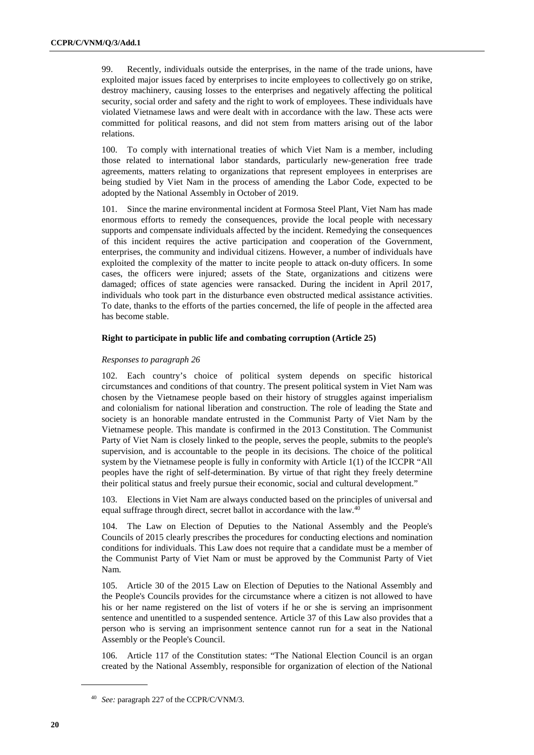99. Recently, individuals outside the enterprises, in the name of the trade unions, have exploited major issues faced by enterprises to incite employees to collectively go on strike, destroy machinery, causing losses to the enterprises and negatively affecting the political security, social order and safety and the right to work of employees. These individuals have violated Vietnamese laws and were dealt with in accordance with the law. These acts were committed for political reasons, and did not stem from matters arising out of the labor relations.

100. To comply with international treaties of which Viet Nam is a member, including those related to international labor standards, particularly new-generation free trade agreements, matters relating to organizations that represent employees in enterprises are being studied by Viet Nam in the process of amending the Labor Code, expected to be adopted by the National Assembly in October of 2019.

101. Since the marine environmental incident at Formosa Steel Plant, Viet Nam has made enormous efforts to remedy the consequences, provide the local people with necessary supports and compensate individuals affected by the incident. Remedying the consequences of this incident requires the active participation and cooperation of the Government, enterprises, the community and individual citizens. However, a number of individuals have exploited the complexity of the matter to incite people to attack on-duty officers. In some cases, the officers were injured; assets of the State, organizations and citizens were damaged; offices of state agencies were ransacked. During the incident in April 2017, individuals who took part in the disturbance even obstructed medical assistance activities. To date, thanks to the efforts of the parties concerned, the life of people in the affected area has become stable.

#### **Right to participate in public life and combating corruption (Article 25)**

#### *Responses to paragraph 26*

102. Each country's choice of political system depends on specific historical circumstances and conditions of that country. The present political system in Viet Nam was chosen by the Vietnamese people based on their history of struggles against imperialism and colonialism for national liberation and construction. The role of leading the State and society is an honorable mandate entrusted in the Communist Party of Viet Nam by the Vietnamese people. This mandate is confirmed in the 2013 Constitution. The Communist Party of Viet Nam is closely linked to the people, serves the people, submits to the people's supervision, and is accountable to the people in its decisions. The choice of the political system by the Vietnamese people is fully in conformity with Article 1(1) of the ICCPR "All peoples have the right of self-determination. By virtue of that right they freely determine their political status and freely pursue their economic, social and cultural development."

103. Elections in Viet Nam are always conducted based on the principles of universal and equal suffrage through direct, secret ballot in accordance with the law.<sup>40</sup>

104. The Law on Election of Deputies to the National Assembly and the People's Councils of 2015 clearly prescribes the procedures for conducting elections and nomination conditions for individuals. This Law does not require that a candidate must be a member of the Communist Party of Viet Nam or must be approved by the Communist Party of Viet Nam.

105. Article 30 of the 2015 Law on Election of Deputies to the National Assembly and the People's Councils provides for the circumstance where a citizen is not allowed to have his or her name registered on the list of voters if he or she is serving an imprisonment sentence and unentitled to a suspended sentence. Article 37 of this Law also provides that a person who is serving an imprisonment sentence cannot run for a seat in the National Assembly or the People's Council.

106. Article 117 of the Constitution states: "The National Election Council is an organ created by the National Assembly, responsible for organization of election of the National

<sup>40</sup> *See:* paragraph 227 of the CCPR/C/VNM/3.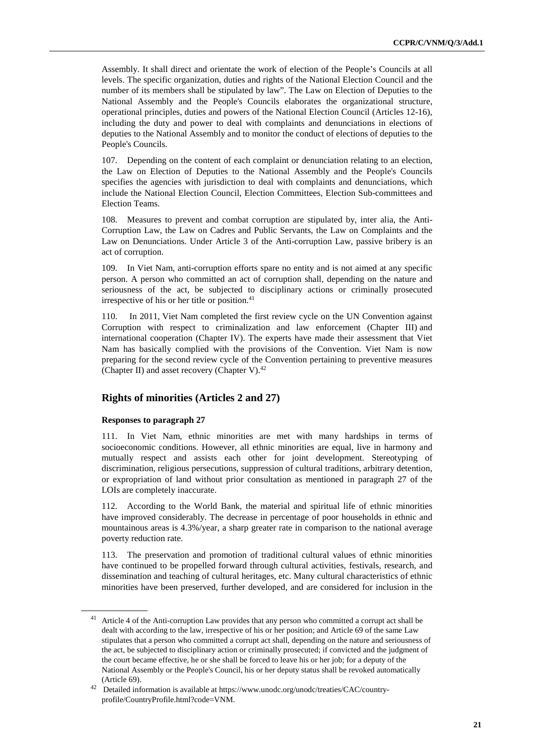Assembly. It shall direct and orientate the work of election of the People's Councils at all levels. The specific organization, duties and rights of the National Election Council and the number of its members shall be stipulated by law". The Law on Election of Deputies to the National Assembly and the People's Councils elaborates the organizational structure, operational principles, duties and powers of the National Election Council (Articles 12-16), including the duty and power to deal with complaints and denunciations in elections of deputies to the National Assembly and to monitor the conduct of elections of deputies to the People's Councils.

107. Depending on the content of each complaint or denunciation relating to an election, the Law on Election of Deputies to the National Assembly and the People's Councils specifies the agencies with jurisdiction to deal with complaints and denunciations, which include the National Election Council, Election Committees, Election Sub-committees and Election Teams.

108. Measures to prevent and combat corruption are stipulated by, inter alia, the Anti-Corruption Law, the Law on Cadres and Public Servants, the Law on Complaints and the Law on Denunciations. Under Article 3 of the Anti-corruption Law, passive bribery is an act of corruption.

109. In Viet Nam, anti-corruption efforts spare no entity and is not aimed at any specific person. A person who committed an act of corruption shall, depending on the nature and seriousness of the act, be subjected to disciplinary actions or criminally prosecuted irrespective of his or her title or position. $41$ 

110. In 2011, Viet Nam completed the first review cycle on the UN Convention against Corruption with respect to criminalization and law enforcement (Chapter III) and international cooperation (Chapter IV). The experts have made their assessment that Viet Nam has basically complied with the provisions of the Convention. Viet Nam is now preparing for the second review cycle of the Convention pertaining to preventive measures (Chapter II) and asset recovery (Chapter V). $42$ 

## **Rights of minorities (Articles 2 and 27)**

#### **Responses to paragraph 27**

 $\overline{a}$ 

111. In Viet Nam, ethnic minorities are met with many hardships in terms of socioeconomic conditions. However, all ethnic minorities are equal, live in harmony and mutually respect and assists each other for joint development. Stereotyping of discrimination, religious persecutions, suppression of cultural traditions, arbitrary detention, or expropriation of land without prior consultation as mentioned in paragraph 27 of the LOIs are completely inaccurate.

112. According to the World Bank, the material and spiritual life of ethnic minorities have improved considerably. The decrease in percentage of poor households in ethnic and mountainous areas is 4.3%/year, a sharp greater rate in comparison to the national average poverty reduction rate.

113. The preservation and promotion of traditional cultural values of ethnic minorities have continued to be propelled forward through cultural activities, festivals, research, and dissemination and teaching of cultural heritages, etc. Many cultural characteristics of ethnic minorities have been preserved, further developed, and are considered for inclusion in the

<sup>&</sup>lt;sup>41</sup> Article 4 of the Anti-corruption Law provides that any person who committed a corrupt act shall be dealt with according to the law, irrespective of his or her position; and Article 69 of the same Law stipulates that a person who committed a corrupt act shall, depending on the nature and seriousness of the act, be subjected to disciplinary action or criminally prosecuted; if convicted and the judgment of the court became effective, he or she shall be forced to leave his or her job; for a deputy of the National Assembly or the People's Council, his or her deputy status shall be revoked automatically (Article 69).

<sup>42</sup> Detailed information is available at https://www.unodc.org/unodc/treaties/CAC/countryprofile/CountryProfile.html?code=VNM.